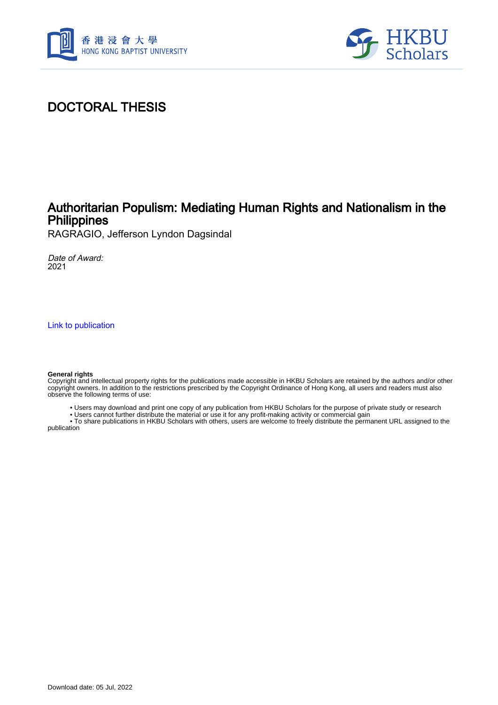



# DOCTORAL THESIS

## Authoritarian Populism: Mediating Human Rights and Nationalism in the **Philippines**

RAGRAGIO, Jefferson Lyndon Dagsindal

Date of Award: 2021

[Link to publication](https://scholars.hkbu.edu.hk/en/studentTheses/e7f97796-836b-499c-9dbd-0310e09fcf65)

#### **General rights**

Copyright and intellectual property rights for the publications made accessible in HKBU Scholars are retained by the authors and/or other copyright owners. In addition to the restrictions prescribed by the Copyright Ordinance of Hong Kong, all users and readers must also observe the following terms of use:

- Users may download and print one copy of any publication from HKBU Scholars for the purpose of private study or research
- Users cannot further distribute the material or use it for any profit-making activity or commercial gain

 • To share publications in HKBU Scholars with others, users are welcome to freely distribute the permanent URL assigned to the publication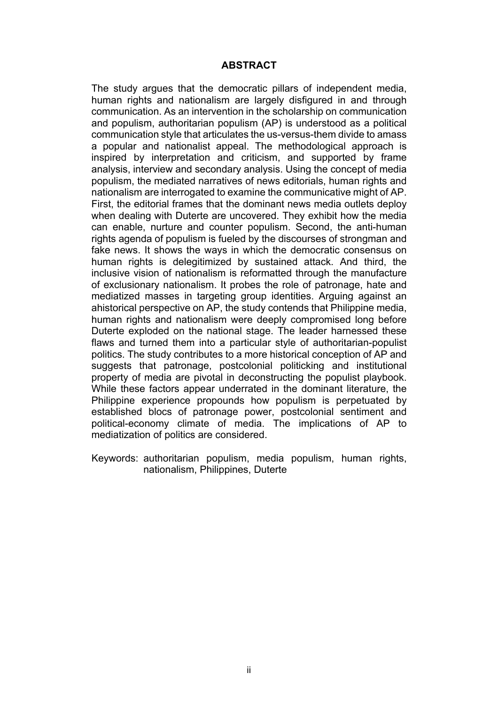#### **ABSTRACT**

The study argues that the democratic pillars of independent media, human rights and nationalism are largely disfigured in and through communication. As an intervention in the scholarship on communication and populism, authoritarian populism (AP) is understood as a political communication style that articulates the us-versus-them divide to amass a popular and nationalist appeal. The methodological approach is inspired by interpretation and criticism, and supported by frame analysis, interview and secondary analysis. Using the concept of media populism, the mediated narratives of news editorials, human rights and nationalism are interrogated to examine the communicative might of AP. First, the editorial frames that the dominant news media outlets deploy when dealing with Duterte are uncovered. They exhibit how the media can enable, nurture and counter populism. Second, the anti-human rights agenda of populism is fueled by the discourses of strongman and fake news. It shows the ways in which the democratic consensus on human rights is delegitimized by sustained attack. And third, the inclusive vision of nationalism is reformatted through the manufacture of exclusionary nationalism. It probes the role of patronage, hate and mediatized masses in targeting group identities. Arguing against an ahistorical perspective on AP, the study contends that Philippine media, human rights and nationalism were deeply compromised long before Duterte exploded on the national stage. The leader harnessed these flaws and turned them into a particular style of authoritarian-populist politics. The study contributes to a more historical conception of AP and suggests that patronage, postcolonial politicking and institutional property of media are pivotal in deconstructing the populist playbook. While these factors appear underrated in the dominant literature, the Philippine experience propounds how populism is perpetuated by established blocs of patronage power, postcolonial sentiment and political-economy climate of media. The implications of AP to mediatization of politics are considered.

Keywords: authoritarian populism, media populism, human rights, nationalism, Philippines, Duterte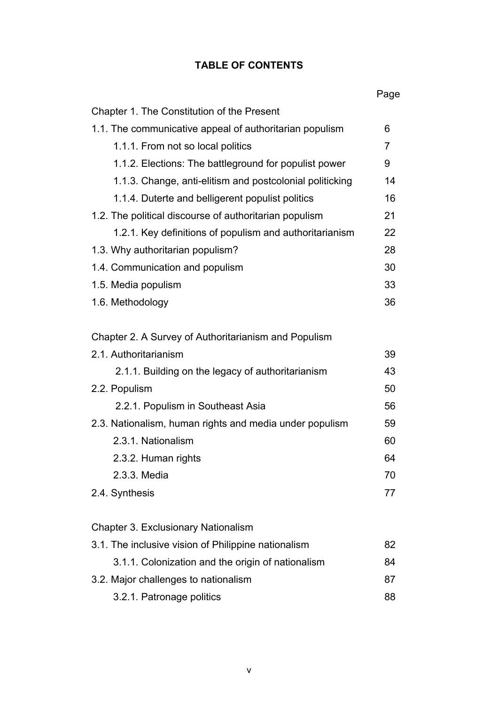## **TABLE OF CONTENTS**

|                                                          | Page |
|----------------------------------------------------------|------|
| Chapter 1. The Constitution of the Present               |      |
| 1.1. The communicative appeal of authoritarian populism  | 6    |
| 1.1.1. From not so local politics                        | 7    |
| 1.1.2. Elections: The battleground for populist power    | 9    |
| 1.1.3. Change, anti-elitism and postcolonial politicking | 14   |
| 1.1.4. Duterte and belligerent populist politics         | 16   |
| 1.2. The political discourse of authoritarian populism   | 21   |
| 1.2.1. Key definitions of populism and authoritarianism  | 22   |
| 1.3. Why authoritarian populism?                         | 28   |
| 1.4. Communication and populism                          | 30   |
| 1.5. Media populism                                      | 33   |
| 1.6. Methodology                                         | 36   |
| Chapter 2. A Survey of Authoritarianism and Populism     |      |
| 2.1. Authoritarianism                                    | 39   |
| 2.1.1. Building on the legacy of authoritarianism        | 43   |
| 2.2. Populism                                            | 50   |
| 2.2.1. Populism in Southeast Asia                        | 56   |
| 2.3. Nationalism, human rights and media under populism  | 59   |
| 2.3.1. Nationalism                                       | 60   |
| 2.3.2. Human rights                                      | 64   |
| 2.3.3. Media                                             | 70   |
| 2.4. Synthesis                                           | 77   |
|                                                          |      |
| Chapter 3. Exclusionary Nationalism                      |      |
| 3.1. The inclusive vision of Philippine nationalism      | 82   |
| 3.1.1. Colonization and the origin of nationalism        | 84   |
| 3.2. Major challenges to nationalism                     | 87   |
| 3.2.1. Patronage politics                                | 88   |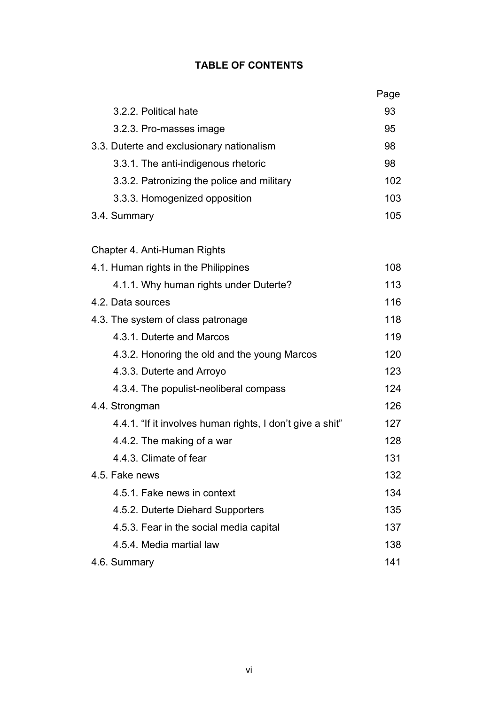## **TABLE OF CONTENTS**

|                                                           | Page |
|-----------------------------------------------------------|------|
| 3.2.2. Political hate                                     | 93   |
| 3.2.3. Pro-masses image                                   | 95   |
| 3.3. Duterte and exclusionary nationalism                 |      |
| 3.3.1. The anti-indigenous rhetoric                       | 98   |
| 3.3.2. Patronizing the police and military                | 102  |
| 3.3.3. Homogenized opposition                             | 103  |
| 3.4. Summary                                              | 105  |
| Chapter 4. Anti-Human Rights                              |      |
| 4.1. Human rights in the Philippines                      | 108  |
| 4.1.1. Why human rights under Duterte?                    | 113  |
| 4.2. Data sources                                         | 116  |
| 4.3. The system of class patronage                        |      |
| 4.3.1. Duterte and Marcos                                 | 119  |
| 4.3.2. Honoring the old and the young Marcos              | 120  |
| 4.3.3. Duterte and Arroyo                                 | 123  |
| 4.3.4. The populist-neoliberal compass                    | 124  |
| 4.4. Strongman                                            | 126  |
| 4.4.1. "If it involves human rights, I don't give a shit" | 127  |
| 4.4.2. The making of a war                                | 128  |
| 4.4.3. Climate of fear                                    | 131  |
| 4.5. Fake news                                            | 132  |
| 4.5.1. Fake news in context                               | 134  |
| 4.5.2. Duterte Diehard Supporters                         | 135  |
| 4.5.3. Fear in the social media capital                   | 137  |
| 4.5.4. Media martial law                                  | 138  |
| 4.6. Summary                                              | 141  |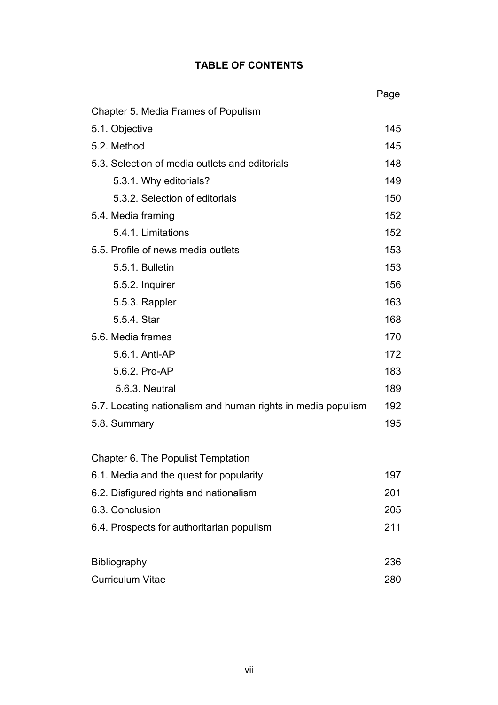## **TABLE OF CONTENTS**

|                                                              | Page |
|--------------------------------------------------------------|------|
| Chapter 5. Media Frames of Populism                          |      |
| 5.1. Objective                                               |      |
| 5.2. Method                                                  | 145  |
| 5.3. Selection of media outlets and editorials               | 148  |
| 5.3.1. Why editorials?                                       | 149  |
| 5.3.2. Selection of editorials                               | 150  |
| 5.4. Media framing                                           | 152  |
| 5.4.1. Limitations                                           | 152  |
| 5.5. Profile of news media outlets                           | 153  |
| 5.5.1. Bulletin                                              | 153  |
| 5.5.2. Inquirer                                              | 156  |
| 5.5.3. Rappler                                               | 163  |
| 5.5.4. Star                                                  | 168  |
| 5.6. Media frames                                            | 170  |
| 5.6.1. Anti-AP                                               | 172  |
| 5.6.2. Pro-AP                                                | 183  |
| 5.6.3. Neutral                                               | 189  |
| 5.7. Locating nationalism and human rights in media populism | 192  |
| 5.8. Summary                                                 | 195  |
|                                                              |      |
| Chapter 6. The Populist Temptation                           |      |
| 6.1. Media and the quest for popularity                      | 197  |
| 6.2. Disfigured rights and nationalism                       | 201  |
| 6.3. Conclusion                                              | 205  |
| 6.4. Prospects for authoritarian populism                    | 211  |
|                                                              |      |
| Bibliography                                                 | 236  |
| <b>Curriculum Vitae</b>                                      | 280  |